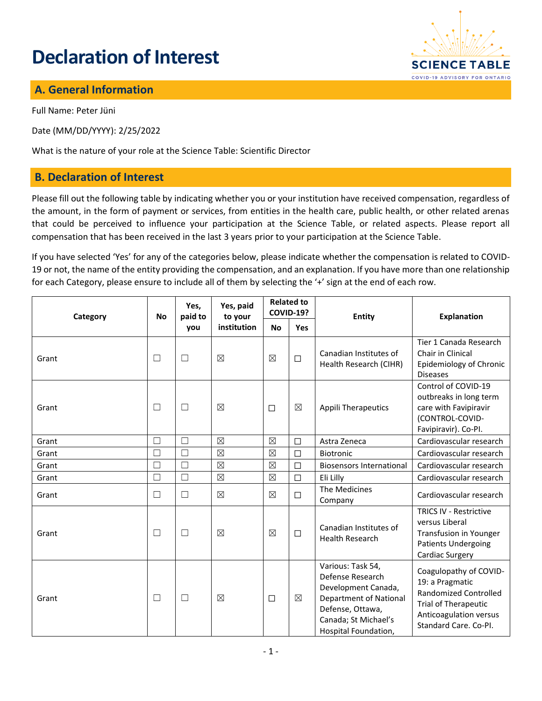# **Declaration of Interest**



#### **A. General Information**

Full Name: Peter Jüni

Date (MM/DD/YYYY): 2/25/2022

What is the nature of your role at the Science Table: Scientific Director

#### **B. Declaration of Interest**

Please fill out the following table by indicating whether you or your institution have received compensation, regardless of the amount, in the form of payment or services, from entities in the health care, public health, or other related arenas that could be perceived to influence your participation at the Science Table, or related aspects. Please report all compensation that has been received in the last 3 years prior to your participation at the Science Table.

If you have selected 'Yes' for any of the categories below, please indicate whether the compensation is related to COVID-19 or not, the name of the entity providing the compensation, and an explanation. If you have more than one relationship for each Category, please ensure to include all of them by selecting the '+' sign at the end of each row.

| Category | <b>No</b> | Yes,<br>paid to<br>you | Yes, paid<br>to your<br>institution | <b>Related to</b><br><b>COVID-19?</b> |             | <b>Entity</b>                                                                                                                                              | <b>Explanation</b>                                                                                                                                          |
|----------|-----------|------------------------|-------------------------------------|---------------------------------------|-------------|------------------------------------------------------------------------------------------------------------------------------------------------------------|-------------------------------------------------------------------------------------------------------------------------------------------------------------|
|          |           |                        |                                     | <b>No</b>                             | <b>Yes</b>  |                                                                                                                                                            |                                                                                                                                                             |
| Grant    | $\Box$    | $\Box$                 | $\boxtimes$                         | $\boxtimes$                           | $\Box$      | Canadian Institutes of<br>Health Research (CIHR)                                                                                                           | Tier 1 Canada Research<br>Chair in Clinical<br>Epidemiology of Chronic<br><b>Diseases</b>                                                                   |
| Grant    | $\Box$    | $\Box$                 | $\boxtimes$                         | $\Box$                                | $\boxtimes$ | <b>Appili Therapeutics</b>                                                                                                                                 | Control of COVID-19<br>outbreaks in long term<br>care with Favipiravir<br>(CONTROL-COVID-<br>Favipiravir). Co-PI.                                           |
| Grant    | $\Box$    | П                      | $\boxtimes$                         | $\boxtimes$                           | $\Box$      | Astra Zeneca                                                                                                                                               | Cardiovascular research                                                                                                                                     |
| Grant    | $\Box$    | П                      | $\boxtimes$                         | $\boxtimes$                           | $\Box$      | <b>Biotronic</b>                                                                                                                                           | Cardiovascular research                                                                                                                                     |
| Grant    | $\Box$    | П                      | $\boxtimes$                         | $\boxtimes$                           | $\Box$      | <b>Biosensors International</b>                                                                                                                            | Cardiovascular research                                                                                                                                     |
| Grant    | $\Box$    | $\Box$                 | $\boxtimes$                         | $\boxtimes$                           | $\Box$      | Eli Lilly                                                                                                                                                  | Cardiovascular research                                                                                                                                     |
| Grant    | $\Box$    | $\Box$                 | $\boxtimes$                         | $\boxtimes$                           | $\Box$      | The Medicines<br>Company                                                                                                                                   | Cardiovascular research                                                                                                                                     |
| Grant    | $\Box$    | $\Box$                 | $\boxtimes$                         | $\boxtimes$                           | $\Box$      | Canadian Institutes of<br><b>Health Research</b>                                                                                                           | <b>TRICS IV - Restrictive</b><br>versus Liberal<br><b>Transfusion in Younger</b><br><b>Patients Undergoing</b><br>Cardiac Surgery                           |
| Grant    | $\Box$    | $\Box$                 | $\boxtimes$                         | $\Box$                                | $\boxtimes$ | Various: Task 54,<br>Defense Research<br>Development Canada,<br>Department of National<br>Defense, Ottawa,<br>Canada; St Michael's<br>Hospital Foundation, | Coagulopathy of COVID-<br>19: a Pragmatic<br><b>Randomized Controlled</b><br><b>Trial of Therapeutic</b><br>Anticoagulation versus<br>Standard Care. Co-PI. |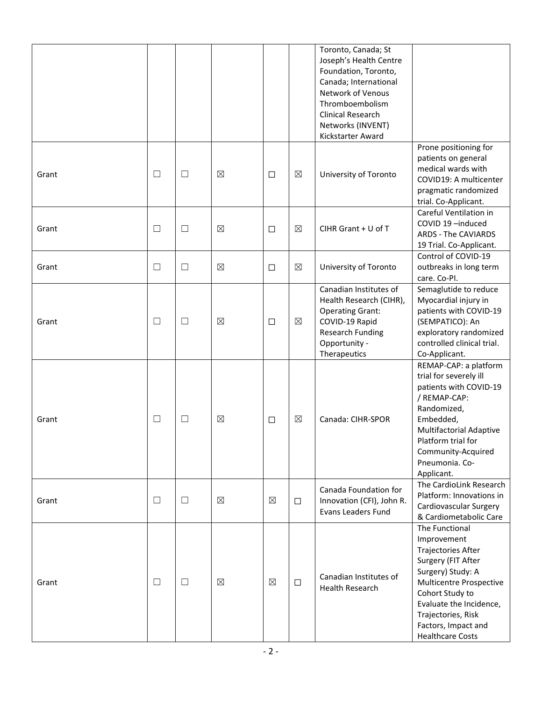|       |        |        |             |             |             | Toronto, Canada; St<br>Joseph's Health Centre<br>Foundation, Toronto,<br>Canada; International<br>Network of Venous<br>Thromboembolism<br>Clinical Research<br>Networks (INVENT)<br>Kickstarter Award |                                                                                                                                                                                                                                                               |
|-------|--------|--------|-------------|-------------|-------------|-------------------------------------------------------------------------------------------------------------------------------------------------------------------------------------------------------|---------------------------------------------------------------------------------------------------------------------------------------------------------------------------------------------------------------------------------------------------------------|
| Grant | $\Box$ | $\Box$ | $\boxtimes$ | $\Box$      | $\boxtimes$ | University of Toronto                                                                                                                                                                                 | Prone positioning for<br>patients on general<br>medical wards with<br>COVID19: A multicenter<br>pragmatic randomized<br>trial. Co-Applicant.                                                                                                                  |
| Grant | $\Box$ | $\Box$ | $\boxtimes$ | $\Box$      | $\boxtimes$ | CIHR Grant $+$ U of T                                                                                                                                                                                 | Careful Ventilation in<br>COVID 19-induced<br><b>ARDS - The CAVIARDS</b><br>19 Trial. Co-Applicant.                                                                                                                                                           |
| Grant | $\Box$ | ⊔      | $\boxtimes$ | $\Box$      | $\boxtimes$ | University of Toronto                                                                                                                                                                                 | Control of COVID-19<br>outbreaks in long term<br>care. Co-PI.                                                                                                                                                                                                 |
| Grant | $\Box$ | $\Box$ | $\boxtimes$ | $\Box$      | $\boxtimes$ | Canadian Institutes of<br>Health Research (CIHR),<br><b>Operating Grant:</b><br>COVID-19 Rapid<br><b>Research Funding</b><br>Opportunity -<br>Therapeutics                                            | Semaglutide to reduce<br>Myocardial injury in<br>patients with COVID-19<br>(SEMPATICO): An<br>exploratory randomized<br>controlled clinical trial.<br>Co-Applicant.                                                                                           |
| Grant | $\Box$ | $\Box$ | $\boxtimes$ | $\Box$      | $\boxtimes$ | Canada: CIHR-SPOR                                                                                                                                                                                     | REMAP-CAP: a platform<br>trial for severely ill<br>patients with COVID-19<br>/ REMAP-CAP:<br>Randomized,<br>Embedded,<br><b>Multifactorial Adaptive</b><br>Platform trial for<br>Community-Acquired<br>Pneumonia. Co-<br>Applicant.                           |
| Grant | $\Box$ | ⊔      | $\boxtimes$ | $\boxtimes$ | $\Box$      | Canada Foundation for<br>Innovation (CFI), John R.<br><b>Evans Leaders Fund</b>                                                                                                                       | The CardioLink Research<br>Platform: Innovations in<br>Cardiovascular Surgery<br>& Cardiometabolic Care                                                                                                                                                       |
| Grant | $\Box$ | $\Box$ | $\boxtimes$ | $\boxtimes$ | $\Box$      | Canadian Institutes of<br><b>Health Research</b>                                                                                                                                                      | The Functional<br>Improvement<br><b>Trajectories After</b><br>Surgery (FIT After<br>Surgery) Study: A<br><b>Multicentre Prospective</b><br>Cohort Study to<br>Evaluate the Incidence,<br>Trajectories, Risk<br>Factors, Impact and<br><b>Healthcare Costs</b> |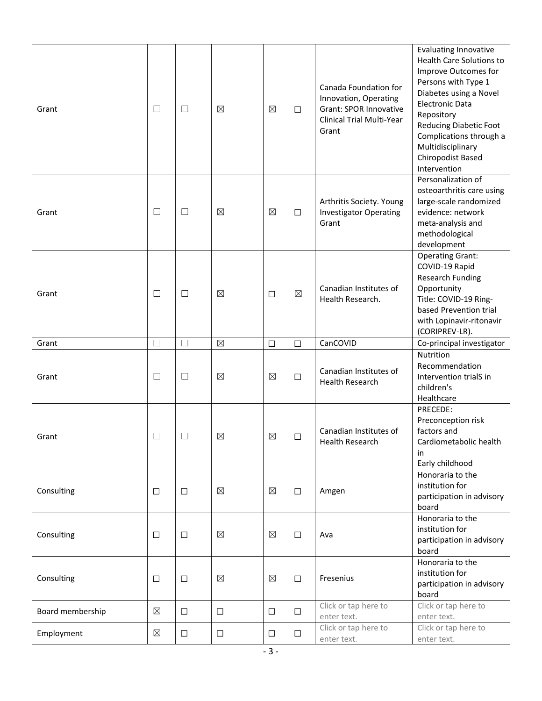| Grant            | $\Box$      | $\Box$ | $\boxtimes$ | $\boxtimes$ | □           | Canada Foundation for<br>Innovation, Operating<br><b>Grant: SPOR Innovative</b><br>Clinical Trial Multi-Year<br>Grant | <b>Evaluating Innovative</b><br>Health Care Solutions to<br>Improve Outcomes for<br>Persons with Type 1<br>Diabetes using a Novel<br><b>Electronic Data</b><br>Repository<br><b>Reducing Diabetic Foot</b><br>Complications through a<br>Multidisciplinary<br>Chiropodist Based<br>Intervention |
|------------------|-------------|--------|-------------|-------------|-------------|-----------------------------------------------------------------------------------------------------------------------|-------------------------------------------------------------------------------------------------------------------------------------------------------------------------------------------------------------------------------------------------------------------------------------------------|
| Grant            | $\Box$      | $\Box$ | $\boxtimes$ | $\boxtimes$ | □           | Arthritis Society. Young<br><b>Investigator Operating</b><br>Grant                                                    | Personalization of<br>osteoarthritis care using<br>large-scale randomized<br>evidence: network<br>meta-analysis and<br>methodological<br>development                                                                                                                                            |
| Grant            | $\Box$      | $\Box$ | $\boxtimes$ | $\Box$      | $\boxtimes$ | Canadian Institutes of<br>Health Research.                                                                            | <b>Operating Grant:</b><br>COVID-19 Rapid<br><b>Research Funding</b><br>Opportunity<br>Title: COVID-19 Ring-<br>based Prevention trial<br>with Lopinavir-ritonavir<br>(CORIPREV-LR).                                                                                                            |
| Grant            | $\Box$      | $\Box$ | $\boxtimes$ | $\Box$      | $\Box$      | CanCOVID                                                                                                              | Co-principal investigator                                                                                                                                                                                                                                                                       |
| Grant            | $\Box$      | $\Box$ | $\boxtimes$ | $\boxtimes$ | $\Box$      | Canadian Institutes of<br><b>Health Research</b>                                                                      | Nutrition<br>Recommendation<br>Intervention trialS in<br>children's<br>Healthcare                                                                                                                                                                                                               |
| Grant            |             | $\Box$ | $\boxtimes$ | $\boxtimes$ | □           | Canadian Institutes of<br>Health Research                                                                             | PRECEDE:<br>Preconception risk<br>factors and<br>Cardiometabolic health<br>in<br>Early childhood                                                                                                                                                                                                |
| Consulting       | □           | $\Box$ | $\boxtimes$ | $\boxtimes$ | $\Box$      | Amgen                                                                                                                 | Honoraria to the<br>institution for<br>participation in advisory<br>board                                                                                                                                                                                                                       |
| Consulting       | $\Box$      | $\Box$ | $\boxtimes$ | $\boxtimes$ | $\Box$      | Ava                                                                                                                   | Honoraria to the<br>institution for<br>participation in advisory<br>board                                                                                                                                                                                                                       |
| Consulting       | □           | $\Box$ | $\boxtimes$ | $\boxtimes$ | $\Box$      | Fresenius                                                                                                             | Honoraria to the<br>institution for<br>participation in advisory<br>board                                                                                                                                                                                                                       |
| Board membership | $\boxtimes$ | $\Box$ | $\Box$      | $\Box$      | $\Box$      | Click or tap here to<br>enter text.                                                                                   | Click or tap here to<br>enter text.                                                                                                                                                                                                                                                             |
| Employment       | $\boxtimes$ | $\Box$ | $\Box$      | $\Box$      | □           | Click or tap here to<br>enter text.                                                                                   | Click or tap here to<br>enter text.                                                                                                                                                                                                                                                             |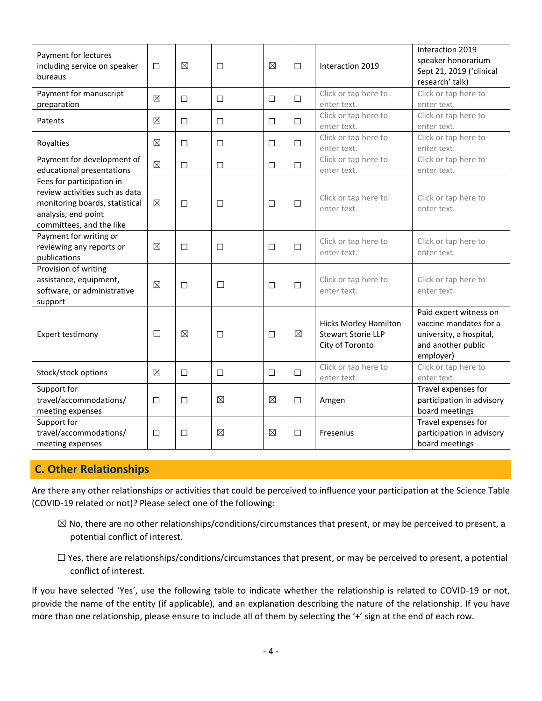| Payment for lectures<br>including service on speaker<br>bureaus                                                                                  | $\Box$      | $\boxtimes$ | $\Box$      | $\boxtimes$ | $\Box$      | Interaction 2019                                                             | Interaction 2019<br>speaker honorarium<br>Sept 21, 2019 ('clinical<br>research' talk)                          |
|--------------------------------------------------------------------------------------------------------------------------------------------------|-------------|-------------|-------------|-------------|-------------|------------------------------------------------------------------------------|----------------------------------------------------------------------------------------------------------------|
| Payment for manuscript<br>preparation                                                                                                            | $\boxtimes$ | □           | $\Box$      | □           | $\Box$      | Click or tap here to<br>enter text.                                          | Click or tap here to<br>enter text.                                                                            |
| Patents                                                                                                                                          | $\boxtimes$ | $\Box$      | $\Box$      | $\Box$      | $\Box$      | Click or tap here to<br>enter text.                                          | Click or tap here to<br>enter text.                                                                            |
| Royalties                                                                                                                                        | $\boxtimes$ | □           | □           | $\Box$      | $\Box$      | Click or tap here to<br>enter text.                                          | Click or tap here to<br>enter text.                                                                            |
| Payment for development of<br>educational presentations                                                                                          | $\boxtimes$ | □           | $\Box$      | $\Box$      | $\Box$      | Click or tap here to<br>enter text.                                          | Click or tap here to<br>enter text.                                                                            |
| Fees for participation in<br>review activities such as data<br>monitoring boards, statistical<br>analysis, end point<br>committees, and the like | $\boxtimes$ | □           | □           | □           | $\Box$      | Click or tap here to<br>enter text.                                          | Click or tap here to<br>enter text.                                                                            |
| Payment for writing or<br>reviewing any reports or<br>publications                                                                               | ⊠           | П           | □           | П           | $\Box$      | Click or tap here to<br>enter text.                                          | Click or tap here to<br>enter text.                                                                            |
| Provision of writing<br>assistance, equipment,<br>software, or administrative<br>support                                                         | $\boxtimes$ | □           | $\Box$      | $\Box$      | $\Box$      | Click or tap here to<br>enter text.                                          | Click or tap here to<br>enter text.                                                                            |
| Expert testimony                                                                                                                                 | $\Box$      | $\boxtimes$ | □           | П           | $\boxtimes$ | <b>Hicks Morley Hamilton</b><br><b>Stewart Storie LLP</b><br>City of Toronto | Paid expert witness on<br>vaccine mandates for a<br>university, a hospital,<br>and another public<br>employer) |
| Stock/stock options                                                                                                                              | $\boxtimes$ | □           | □           | $\Box$      | $\Box$      | Click or tap here to<br>enter text.                                          | Click or tap here to<br>enter text.                                                                            |
| Support for<br>travel/accommodations/<br>meeting expenses                                                                                        | П           | □           | $\boxtimes$ | $\boxtimes$ | П           | Amgen                                                                        | Travel expenses for<br>participation in advisory<br>board meetings                                             |
| Support for<br>travel/accommodations/<br>meeting expenses                                                                                        | □           | □           | $\boxtimes$ | $\boxtimes$ | П           | Fresenius                                                                    | Travel expenses for<br>participation in advisory<br>board meetings                                             |

### **C. Other Relationships**

Are there any other relationships or activities that could be perceived to influence your participation at the Science Table (COVID-19 related or not)? Please select one of the following:

- $\boxtimes$  No, there are no other relationships/conditions/circumstances that present, or may be perceived to present, a potential conflict of interest.
- $\Box$  Yes, there are relationships/conditions/circumstances that present, or may be perceived to present, a potential conflict of interest.

If you have selected 'Yes', use the following table to indicate whether the relationship is related to COVID-19 or not, provide the name of the entity (if applicable), and an explanation describing the nature of the relationship. If you have more than one relationship, please ensure to include all of them by selecting the '+' sign at the end of each row.